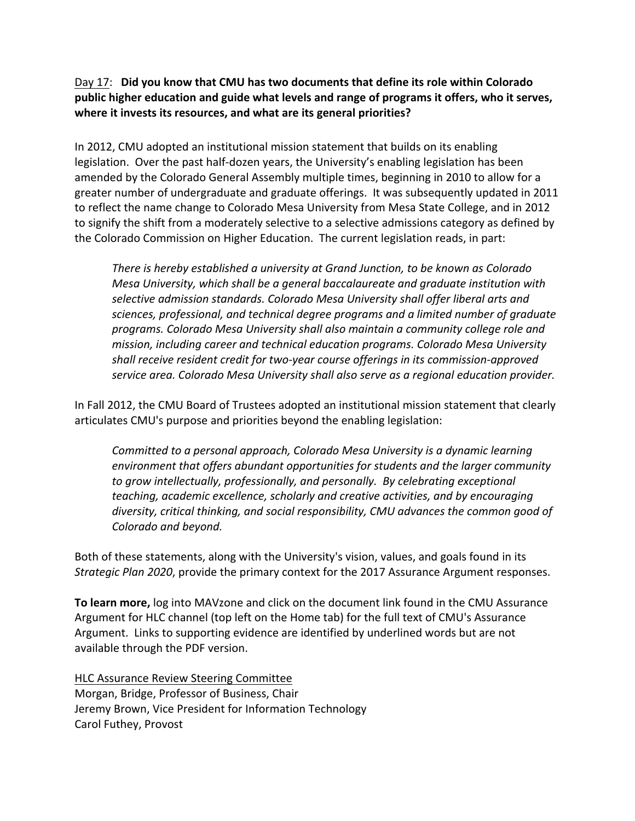## Day 17: **Did you know that CMU has two documents that define its role within Colorado public higher education and guide what levels and range of programs it offers, who it serves, where it invests its resources, and what are its general priorities?**

In 2012, CMU adopted an institutional mission statement that builds on its enabling legislation. Over the past half-dozen years, the University's enabling legislation has been amended by the Colorado General Assembly multiple times, beginning in 2010 to allow for a greater number of undergraduate and graduate offerings. It was subsequently updated in 2011 to reflect the name change to Colorado Mesa University from Mesa State College, and in 2012 to signify the shift from a moderately selective to a selective admissions category as defined by the Colorado Commission on Higher Education. The current legislation reads, in part:

*There is hereby established a university at Grand Junction, to be known as Colorado Mesa University, which shall be a general baccalaureate and graduate institution with selective admission standards. Colorado Mesa University shall offer liberal arts and sciences, professional, and technical degree programs and a limited number of graduate programs. Colorado Mesa University shall also maintain a community college role and mission, including career and technical education programs. Colorado Mesa University shall receive resident credit for two‐year course offerings in its commission‐approved service area. Colorado Mesa University shall also serve as a regional education provider.*

In Fall 2012, the CMU Board of Trustees adopted an institutional mission statement that clearly articulates CMU's purpose and priorities beyond the enabling legislation:

*Committed to a personal approach, Colorado Mesa University is a dynamic learning environment that offers abundant opportunities for students and the larger community to grow intellectually, professionally, and personally. By celebrating exceptional teaching, academic excellence, scholarly and creative activities, and by encouraging diversity, critical thinking, and social responsibility, CMU advances the common good of Colorado and beyond.*

Both of these statements, along with the University's vision, values, and goals found in its *Strategic Plan 2020*, provide the primary context for the 2017 Assurance Argument responses.

**To learn more,** log into MAVzone and click on the document link found in the CMU Assurance Argument for HLC channel (top left on the Home tab) for the full text of CMU's Assurance Argument. Links to supporting evidence are identified by underlined words but are not available through the PDF version.

HLC Assurance Review Steering Committee Morgan, Bridge, Professor of Business, Chair Jeremy Brown, Vice President for Information Technology Carol Futhey, Provost